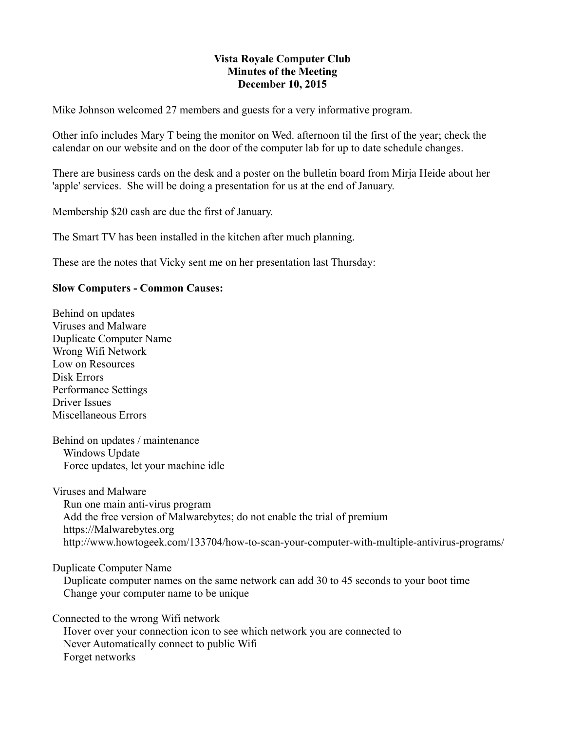## **Vista Royale Computer Club Minutes of the Meeting December 10, 2015**

Mike Johnson welcomed 27 members and guests for a very informative program.

Other info includes Mary T being the monitor on Wed. afternoon til the first of the year; check the calendar on our website and on the door of the computer lab for up to date schedule changes.

There are business cards on the desk and a poster on the bulletin board from Mirja Heide about her 'apple' services. She will be doing a presentation for us at the end of January.

Membership \$20 cash are due the first of January.

The Smart TV has been installed in the kitchen after much planning.

These are the notes that Vicky sent me on her presentation last Thursday:

## **Slow Computers - Common Causes:**

Behind on updates Viruses and Malware Duplicate Computer Name Wrong Wifi Network Low on Resources Disk Errors Performance Settings Driver Issues Miscellaneous Errors

Behind on updates / maintenance Windows Update Force updates, let your machine idle

Viruses and Malware Run one main anti-virus program Add the free version of Malwarebytes; do not enable the trial of premium https://Malwarebytes.org http://www.howtogeek.com/133704/how-to-scan-your-computer-with-multiple-antivirus-programs/

Duplicate Computer Name

 Duplicate computer names on the same network can add 30 to 45 seconds to your boot time Change your computer name to be unique

Connected to the wrong Wifi network Hover over your connection icon to see which network you are connected to Never Automatically connect to public Wifi Forget networks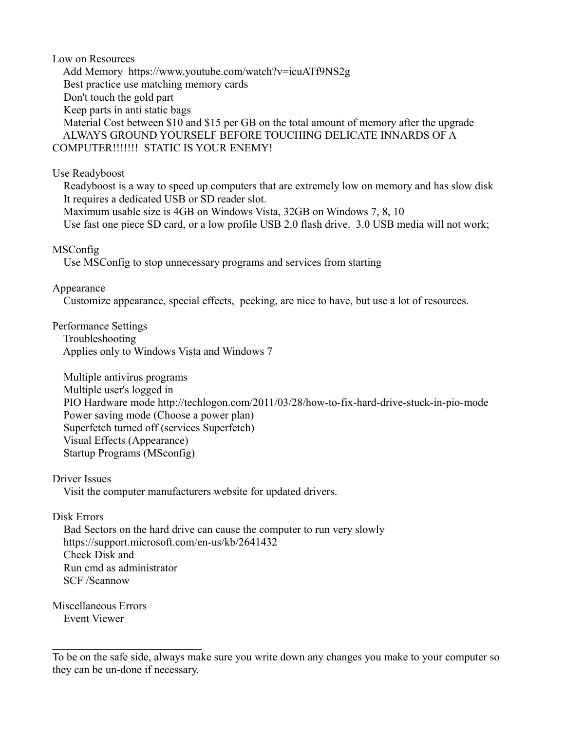Low on Resources

 Add Memory https://www.youtube.com/watch?v=icuATf9NS2g Best practice use matching memory cards Don't touch the gold part Keep parts in anti static bags Material Cost between \$10 and \$15 per GB on the total amount of memory after the upgrade ALWAYS GROUND YOURSELF BEFORE TOUCHING DELICATE INNARDS OF A COMPUTER!!!!!!! STATIC IS YOUR ENEMY!

## Use Readyboost

 Readyboost is a way to speed up computers that are extremely low on memory and has slow disk It requires a dedicated USB or SD reader slot.

 Maximum usable size is 4GB on Windows Vista, 32GB on Windows 7, 8, 10 Use fast one piece SD card, or a low profile USB 2.0 flash drive. 3.0 USB media will not work;

#### MSConfig

Use MSConfig to stop unnecessary programs and services from starting

## Appearance

Customize appearance, special effects, peeking, are nice to have, but use a lot of resources.

#### Performance Settings

 Troubleshooting Applies only to Windows Vista and Windows 7

 Multiple antivirus programs Multiple user's logged in PIO Hardware mode http://techlogon.com/2011/03/28/how-to-fix-hard-drive-stuck-in-pio-mode Power saving mode (Choose a power plan) Superfetch turned off (services Superfetch) Visual Effects (Appearance) Startup Programs (MSconfig)

Driver Issues

Visit the computer manufacturers website for updated drivers.

# Disk Errors

 Bad Sectors on the hard drive can cause the computer to run very slowly https://support.microsoft.com/en-us/kb/2641432 Check Disk and Run cmd as administrator SCF /Scannow

Miscellaneous Errors Event Viewer

\_\_\_\_\_\_\_\_\_\_\_\_\_\_\_\_\_\_\_\_\_\_\_\_\_\_\_

To be on the safe side, always make sure you write down any changes you make to your computer so they can be un-done if necessary.